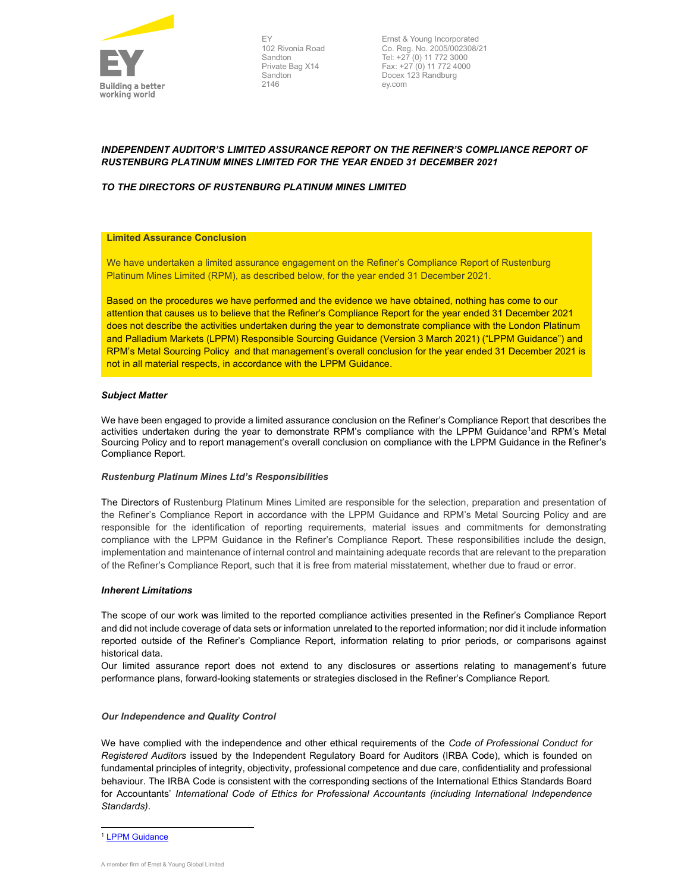

EY 102 Rivonia Road Sandton Private Bag X14 Sandton 2146

Ernst & Young Incorporated Co. Reg. No. 2005/002308/21 Tel: +27 (0) 11 772 3000 Fax: +27 (0) 11 772 4000 Docex 123 Randburg ey.com

# INDEPENDENT AUDITOR'S LIMITED ASSURANCE REPORT ON THE REFINER'S COMPLIANCE REPORT OF RUSTENBURG PLATINUM MINES LIMITED FOR THE YEAR ENDED 31 DECEMBER 2021

# TO THE DIRECTORS OF RUSTENBURG PLATINUM MINES LIMITED

### Limited Assurance Conclusion

We have undertaken a limited assurance engagement on the Refiner's Compliance Report of Rustenburg Platinum Mines Limited (RPM), as described below, for the year ended 31 December 2021.

Based on the procedures we have performed and the evidence we have obtained, nothing has come to our attention that causes us to believe that the Refiner's Compliance Report for the year ended 31 December 2021 does not describe the activities undertaken during the year to demonstrate compliance with the London Platinum and Palladium Markets (LPPM) Responsible Sourcing Guidance (Version 3 March 2021) ("LPPM Guidance") and RPM's Metal Sourcing Policy and that management's overall conclusion for the year ended 31 December 2021 is not in all material respects, in accordance with the LPPM Guidance.

## Subject Matter

We have been engaged to provide a limited assurance conclusion on the Refiner's Compliance Report that describes the activities undertaken during the year to demonstrate RPM's compliance with the LPPM Guidance<sup>1</sup>and RPM's Metal Sourcing Policy and to report management's overall conclusion on compliance with the LPPM Guidance in the Refiner's Compliance Report.

#### Rustenburg Platinum Mines Ltd's Responsibilities

The Directors of Rustenburg Platinum Mines Limited are responsible for the selection, preparation and presentation of the Refiner's Compliance Report in accordance with the LPPM Guidance and RPM's Metal Sourcing Policy and are responsible for the identification of reporting requirements, material issues and commitments for demonstrating compliance with the LPPM Guidance in the Refiner's Compliance Report. These responsibilities include the design, implementation and maintenance of internal control and maintaining adequate records that are relevant to the preparation of the Refiner's Compliance Report, such that it is free from material misstatement, whether due to fraud or error.

#### Inherent Limitations

The scope of our work was limited to the reported compliance activities presented in the Refiner's Compliance Report and did not include coverage of data sets or information unrelated to the reported information; nor did it include information reported outside of the Refiner's Compliance Report, information relating to prior periods, or comparisons against historical data.

Our limited assurance report does not extend to any disclosures or assertions relating to management's future performance plans, forward-looking statements or strategies disclosed in the Refiner's Compliance Report.

#### Our Independence and Quality Control

We have complied with the independence and other ethical requirements of the Code of Professional Conduct for Registered Auditors issued by the Independent Regulatory Board for Auditors (IRBA Code), which is founded on fundamental principles of integrity, objectivity, professional competence and due care, confidentiality and professional behaviour. The IRBA Code is consistent with the corresponding sections of the International Ethics Standards Board for Accountants' International Code of Ethics for Professional Accountants (including International Independence Standards).

<sup>&</sup>lt;sup>1</sup> LPPM Guidance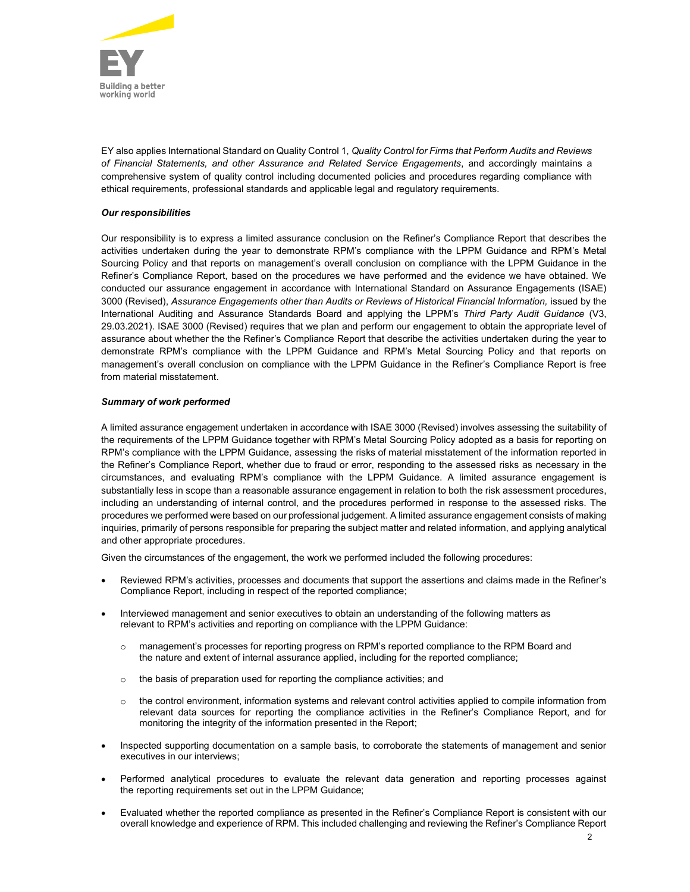

EY also applies International Standard on Quality Control 1, Quality Control for Firms that Perform Audits and Reviews of Financial Statements, and other Assurance and Related Service Engagements, and accordingly maintains a comprehensive system of quality control including documented policies and procedures regarding compliance with ethical requirements, professional standards and applicable legal and regulatory requirements.

# Our responsibilities

Our responsibility is to express a limited assurance conclusion on the Refiner's Compliance Report that describes the activities undertaken during the year to demonstrate RPM's compliance with the LPPM Guidance and RPM's Metal Sourcing Policy and that reports on management's overall conclusion on compliance with the LPPM Guidance in the Refiner's Compliance Report, based on the procedures we have performed and the evidence we have obtained. We conducted our assurance engagement in accordance with International Standard on Assurance Engagements (ISAE) 3000 (Revised), Assurance Engagements other than Audits or Reviews of Historical Financial Information, issued by the International Auditing and Assurance Standards Board and applying the LPPM's Third Party Audit Guidance (V3, 29.03.2021). ISAE 3000 (Revised) requires that we plan and perform our engagement to obtain the appropriate level of assurance about whether the the Refiner's Compliance Report that describe the activities undertaken during the year to demonstrate RPM's compliance with the LPPM Guidance and RPM's Metal Sourcing Policy and that reports on management's overall conclusion on compliance with the LPPM Guidance in the Refiner's Compliance Report is free from material misstatement.

# Summary of work performed

A limited assurance engagement undertaken in accordance with ISAE 3000 (Revised) involves assessing the suitability of the requirements of the LPPM Guidance together with RPM's Metal Sourcing Policy adopted as a basis for reporting on RPM's compliance with the LPPM Guidance, assessing the risks of material misstatement of the information reported in the Refiner's Compliance Report, whether due to fraud or error, responding to the assessed risks as necessary in the circumstances, and evaluating RPM's compliance with the LPPM Guidance. A limited assurance engagement is substantially less in scope than a reasonable assurance engagement in relation to both the risk assessment procedures, including an understanding of internal control, and the procedures performed in response to the assessed risks. The procedures we performed were based on our professional judgement. A limited assurance engagement consists of making inquiries, primarily of persons responsible for preparing the subject matter and related information, and applying analytical and other appropriate procedures.

Given the circumstances of the engagement, the work we performed included the following procedures:

- Reviewed RPM's activities, processes and documents that support the assertions and claims made in the Refiner's Compliance Report, including in respect of the reported compliance;
- Interviewed management and senior executives to obtain an understanding of the following matters as relevant to RPM's activities and reporting on compliance with the LPPM Guidance:
	- o management's processes for reporting progress on RPM's reported compliance to the RPM Board and the nature and extent of internal assurance applied, including for the reported compliance;
	- o the basis of preparation used for reporting the compliance activities; and
	- $\circ$  the control environment, information systems and relevant control activities applied to compile information from relevant data sources for reporting the compliance activities in the Refiner's Compliance Report, and for monitoring the integrity of the information presented in the Report;
- Inspected supporting documentation on a sample basis, to corroborate the statements of management and senior executives in our interviews;
- Performed analytical procedures to evaluate the relevant data generation and reporting processes against the reporting requirements set out in the LPPM Guidance;
- Evaluated whether the reported compliance as presented in the Refiner's Compliance Report is consistent with our overall knowledge and experience of RPM. This included challenging and reviewing the Refiner's Compliance Report